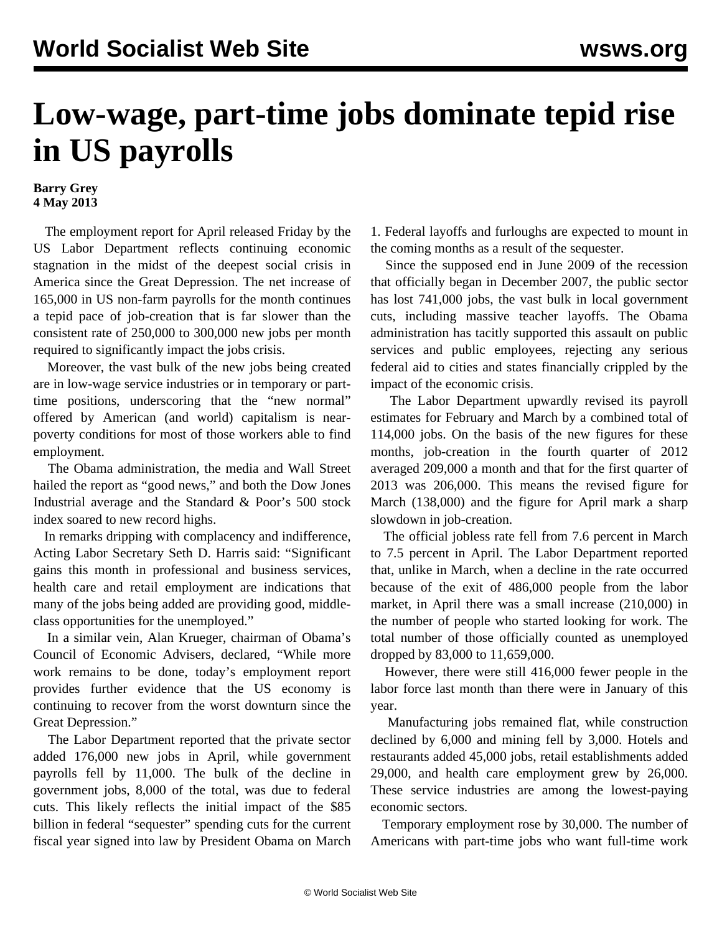## **Low-wage, part-time jobs dominate tepid rise in US payrolls**

## **Barry Grey 4 May 2013**

 The employment report for April released Friday by the US Labor Department reflects continuing economic stagnation in the midst of the deepest social crisis in America since the Great Depression. The net increase of 165,000 in US non-farm payrolls for the month continues a tepid pace of job-creation that is far slower than the consistent rate of 250,000 to 300,000 new jobs per month required to significantly impact the jobs crisis.

 Moreover, the vast bulk of the new jobs being created are in low-wage service industries or in temporary or parttime positions, underscoring that the "new normal" offered by American (and world) capitalism is nearpoverty conditions for most of those workers able to find employment.

 The Obama administration, the media and Wall Street hailed the report as "good news," and both the Dow Jones Industrial average and the Standard & Poor's 500 stock index soared to new record highs.

 In remarks dripping with complacency and indifference, Acting Labor Secretary Seth D. Harris said: "Significant gains this month in professional and business services, health care and retail employment are indications that many of the jobs being added are providing good, middleclass opportunities for the unemployed."

 In a similar vein, Alan Krueger, chairman of Obama's Council of Economic Advisers, declared, "While more work remains to be done, today's employment report provides further evidence that the US economy is continuing to recover from the worst downturn since the Great Depression."

 The Labor Department reported that the private sector added 176,000 new jobs in April, while government payrolls fell by 11,000. The bulk of the decline in government jobs, 8,000 of the total, was due to federal cuts. This likely reflects the initial impact of the \$85 billion in federal "sequester" spending cuts for the current fiscal year signed into law by President Obama on March 1. Federal layoffs and furloughs are expected to mount in the coming months as a result of the sequester.

 Since the supposed end in June 2009 of the recession that officially began in December 2007, the public sector has lost 741,000 jobs, the vast bulk in local government cuts, including massive teacher layoffs. The Obama administration has tacitly supported this assault on public services and public employees, rejecting any serious federal aid to cities and states financially crippled by the impact of the economic crisis.

 The Labor Department upwardly revised its payroll estimates for February and March by a combined total of 114,000 jobs. On the basis of the new figures for these months, job-creation in the fourth quarter of 2012 averaged 209,000 a month and that for the first quarter of 2013 was 206,000. This means the revised figure for March (138,000) and the figure for April mark a sharp slowdown in job-creation.

 The official jobless rate fell from 7.6 percent in March to 7.5 percent in April. The Labor Department reported that, unlike in March, when a decline in the rate occurred because of the exit of 486,000 people from the labor market, in April there was a small increase (210,000) in the number of people who started looking for work. The total number of those officially counted as unemployed dropped by 83,000 to 11,659,000.

 However, there were still 416,000 fewer people in the labor force last month than there were in January of this year.

 Manufacturing jobs remained flat, while construction declined by 6,000 and mining fell by 3,000. Hotels and restaurants added 45,000 jobs, retail establishments added 29,000, and health care employment grew by 26,000. These service industries are among the lowest-paying economic sectors.

 Temporary employment rose by 30,000. The number of Americans with part-time jobs who want full-time work